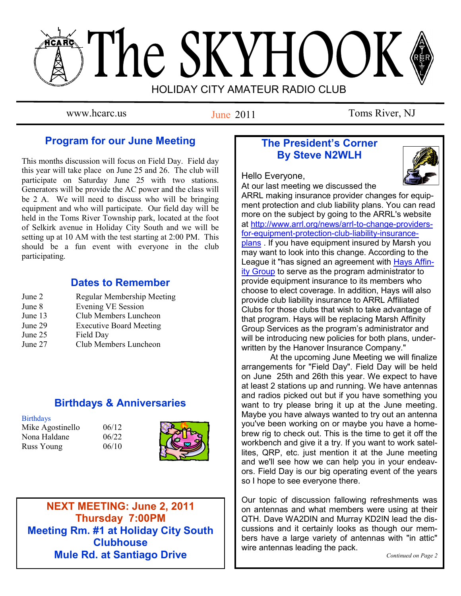# The SKYHOOK HOLIDAY CITY AMATEUR RADIO CLUB

June 2011

www.hcarc.us Iune 2011 Toms River, NJ

## **Program for our June Meeting**

This months discussion will focus on Field Day. Field day this year will take place on June 25 and 26. The club will participate on Saturday June 25 with two stations. Generators will be provide the AC power and the class will be 2 A. We will need to discuss who will be bringing equipment and who will participate. Our field day will be held in the Toms River Township park, located at the foot of Selkirk avenue in Holiday City South and we will be setting up at 10 AM with the test starting at 2:00 PM. This should be a fun event with everyone in the club participating.

## **Dates to Remember**

| Regular Membership Meeting     |
|--------------------------------|
| <b>Evening VE Session</b>      |
| Club Members Luncheon          |
| <b>Executive Board Meeting</b> |
| Field Day                      |
| Club Members Luncheon          |
|                                |

## **Birthdays & Anniversaries**

#### **Birthdays**

Mike Agostinello 06/12 Nona Haldane 06/22 Russ Young 06/10



**NEXT MEETING: June 2, 2011 Thursday 7:00PM Meeting Rm. #1 at Holiday City South Clubhouse Mule Rd. at Santiago Drive**

## **The President's Corner By Steve N2WLH**



Hello Everyone,

At our last meeting we discussed the ARRL making insurance provider changes for equipment protection and club liability plans. You can read more on the subject by going to the ARRL's website at [http://www.arrl.org/news/arrl-to-change-providers](http://www.arrl.org/news/arrl-to-change-providers-for-equipment-protection-club-liability-insurance-plans)[for-equipment-protection-club-liability-insurance](http://www.arrl.org/news/arrl-to-change-providers-for-equipment-protection-club-liability-insurance-plans)[plans](http://www.arrl.org/news/arrl-to-change-providers-for-equipment-protection-club-liability-insurance-plans) . If you have equipment insured by Marsh you may want to look into this change. According to the League it "has signed an agreement with [Hays Affin](http://arrlinsurance.com/)[ity Group](http://arrlinsurance.com/) to serve as the program administrator to provide equipment insurance to its members who choose to elect coverage. In addition, Hays will also provide club liability insurance to ARRL Affiliated Clubs for those clubs that wish to take advantage of that program. Hays will be replacing Marsh Affinity Group Services as the program's administrator and will be introducing new policies for both plans, underwritten by the Hanover Insurance Company."

 At the upcoming June Meeting we will finalize arrangements for "Field Day". Field Day will be held on June 25th and 26th this year. We expect to have at least 2 stations up and running. We have antennas and radios picked out but if you have something you want to try please bring it up at the June meeting. Maybe you have always wanted to try out an antenna you've been working on or maybe you have a homebrew rig to check out. This is the time to get it off the workbench and give it a try. If you want to work satellites, QRP, etc. just mention it at the June meeting and we'll see how we can help you in your endeavors. Field Day is our big operating event of the years so I hope to see everyone there.

Our topic of discussion fallowing refreshments was on antennas and what members were using at their QTH. Dave WA2DIN and Murray KD2IN lead the discussions and it certainly looks as though our members have a large variety of antennas with "in attic" wire antennas leading the pack.

*Continued on Page 2*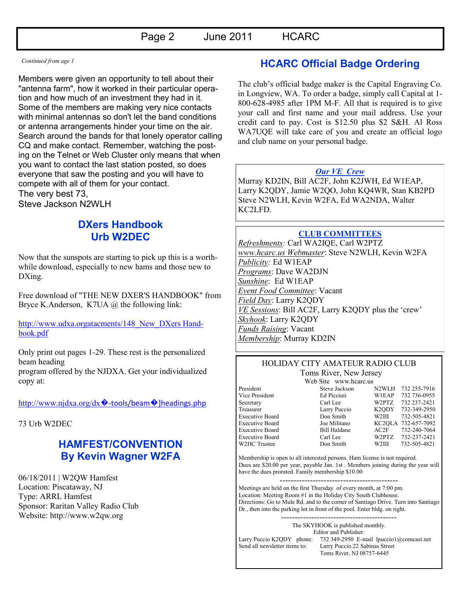*Continued from age 1* 

Members were given an opportunity to tell about their "antenna farm", how it worked in their particular operation and how much of an investment they had in it. Some of the members are making very nice contacts with minimal antennas so don't let the band conditions or antenna arrangements hinder your time on the air. Search around the bands for that lonely operator calling CQ and make contact. Remember, watching the posting on the Telnet or Web Cluster only means that when you want to contact the last station posted, so does everyone that saw the posting and you will have to compete with all of them for your contact. The very best 73, Steve Jackson N2WLH

## **DXers Handbook Urb W2DEC**

Now that the sunspots are starting to pick up this is a worthwhile download, especially to new hams and those new to DXing.

Free download of "THE NEW DXER'S HANDBOOK" from Bryce K.Anderson, K7UA @ the following link:

http://www.udxa.orgatacments/148 New DXers Hand[book.pdf](http://www.udxa.org/attachments/148_New_DXers_Handbook.pdf)

Only print out pages 1-29. These rest is the personalized beam heading

program offered by the NJDXA. Get your individualized copy at:

[http://www.njdxa.org/dx](http://www.njdxa.org/dx%81-tools/beam%81%5Dheadings.php) $\lozenge$ -tools/beam $\lozenge$ ]headings.php

#### 73 Urb W2DEC

# **HAMFEST/CONVENTION By Kevin Wagner W2FA**

06/18/2011 | W2QW Hamfest Location: Piscataway, NJ Type: ARRL Hamfest Sponsor: Raritan Valley Radio Club Website: [http://www.w2qw.org](http://www.w2qw.org/)

## **HCARC Official Badge Ordering**

The club"s official badge maker is the Capital Engraving Co. in Longview, WA. To order a badge, simply call Capital at 1- 800-628-4985 after 1PM M-F. All that is required is to give your call and first name and your mail address. Use your credit card to pay. Cost is \$12.50 plus \$2 S&H. Al Ross WA7UQE will take care of you and create an official logo and club name on your personal badge.

#### *Our VE Crew*

Murray KD2IN, Bill AC2F, John K2JWH, Ed W1EAP, Larry K2QDY, Jamie W2QO, John KQ4WR, Stan KB2PD Steve N2WLH, Kevin W2FA, Ed WA2NDA, Walter KC2LFD.

#### **CLUB COMMITTEES**

*Refreshments:* Carl WA2IQE, Carl W2PTZ *www.hcarc.us Webmaster*: Steve N2WLH, Kevin W2FA *Publicity:* Ed W1EAP *Programs*: Dave WA2DJN *Sunshine*: Ed W1EAP *Event Food Committee*: Vacant *Field Day*: Larry K2QDY *VE Sessions*: Bill AC2F, Larry K2QDY plus the "crew" *Skyhook*: Larry K2QDY *Funds Raising*: Vacant *Membership*: Murray KD2IN

#### HOLIDAY CITY AMATEUR RADIO CLUB Toms River, New Jersey

W2HC Trustee Don Smith

Web Site www.hcarc.us

President Steve Jackson N2WLH 732 255-7916 Vice President Ed Picciuti W1EAP 732 736-0955 Secretary Carl Lee W2PTZ 732 237-2421 Treasurer Larry Puccio K2QDY 732-349-2950 Executive Board Don Smith W2III 732-505-4821 Executive Board Joe Militano KC2QLA 732-657-7092 Executive Board Bill Haldane AC2F 732-240-7064 Executive Board Carl Lee W2PTZ 732-237-2421<br>W2HC Trustee Don Smith W2III 732-505-4821

Membership is open to all interested persons. Ham license is not required. Dues are \$20.00 per year, payable Jan. 1st . Members joining during the year will have the dues prorated. Family membership \$10.00

------------------------------------------- Meetings are held on the first Thursday of every month, at 7:00 pm. Location: Meeting Room #1 in the Holiday City South Clubhouse. Directions: Go to Mule Rd. and to the corner of Santiago Drive. Turn into Santiago Dr., then into the parking lot in front of the pool. Enter bldg. on right.

------------------------------------------

The SKYHOOK is published monthly.

Editor and Publisher: Larry Puccio K2QDY phone: 732 349-2950 E-mail lpuccio1@comcast.net<br>Send all newsletter items to: Larry Puccio 22 Sabinas Street Larry Puccio 22 Sabinas Street Toms River, NJ 08757-6445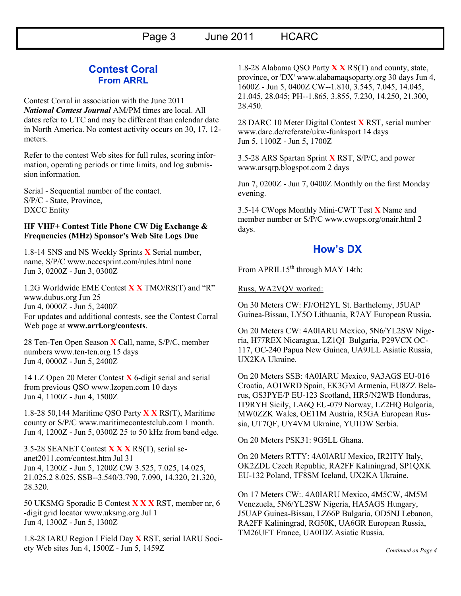### **Contest Coral From ARRL**

Contest Corral in association with the June 2011 *National Contest Journal* AM/PM times are local. All dates refer to UTC and may be different than calendar date in North America. No contest activity occurs on 30, 17, 12 meters.

Refer to the contest Web sites for full rules, scoring information, operating periods or time limits, and log submission information.

Serial - Sequential number of the contact. S/P/C - State, Province, DXCC Entity

#### **HF VHF+ Contest Title Phone CW Dig Exchange & Frequencies (MHz) Sponsor's Web Site Logs Due**

1.8-14 SNS and NS Weekly Sprints **X** Serial number, name, S/P/C www.ncccsprint.com/rules.html none Jun 3, 0200Z - Jun 3, 0300Z

1.2G Worldwide EME Contest **X X** TMO/RS(T) and "R" www.dubus.org Jun 25 Jun 4, 0000Z - Jun 5, 2400Z For updates and additional contests, see the Contest Corral Web page at **www.arrl.org/contests**.

28 Ten-Ten Open Season **X** Call, name, S/P/C, member numbers www.ten-ten.org 15 days Jun 4, 0000Z - Jun 5, 2400Z

14 LZ Open 20 Meter Contest **X** 6-digit serial and serial from previous QSO www.lzopen.com 10 days Jun 4, 1100Z - Jun 4, 1500Z

1.8-28 50,144 Maritime QSO Party **X X** RS(T), Maritime county or S/P/C www.maritimecontestclub.com 1 month. Jun 4, 1200Z - Jun 5, 0300Z 25 to 50 kHz from band edge.

3.5-28 SEANET Contest **X X X** RS(T), serial seanet2011.com/contest.htm Jul 31 Jun 4, 1200Z - Jun 5, 1200Z CW 3.525, 7.025, 14.025, 21.025,2 8.025, SSB--3.540/3.790, 7.090, 14.320, 21.320, 28.320.

50 UKSMG Sporadic E Contest **X X X** RST, member nr, 6 -digit grid locator www.uksmg.org Jul 1 Jun 4, 1300Z - Jun 5, 1300Z

1.8-28 IARU Region I Field Day **X** RST, serial IARU Society Web sites Jun 4, 1500Z - Jun 5, 1459Z

1.8-28 Alabama QSO Party **X X** RS(T) and county, state, province, or 'DX' www.alabamaqsoparty.org 30 days Jun 4, 1600Z - Jun 5, 0400Z CW--1.810, 3.545, 7.045, 14.045, 21.045, 28.045; PH--1.865, 3.855, 7.230, 14.250, 21.300, 28.450.

28 DARC 10 Meter Digital Contest **X** RST, serial number www.darc.de/referate/ukw-funksport 14 days Jun 5, 1100Z - Jun 5, 1700Z

3.5-28 ARS Spartan Sprint **X** RST, S/P/C, and power www.arsqrp.blogspot.com 2 days

Jun 7, 0200Z - Jun 7, 0400Z Monthly on the first Monday evening.

3.5-14 CWops Monthly Mini-CWT Test **X** Name and member number or S/P/C www.cwops.org/onair.html 2 days.

## **How's DX**

From APRIL15<sup>th</sup> through MAY 14th:

Russ, WA2VQV worked:

On 30 Meters CW: FJ/OH2YL St. Barthelemy, J5UAP Guinea-Bissau, LY5O Lithuania, R7AY European Russia.

On 20 Meters CW: 4A0IARU Mexico, 5N6/YL2SW Nigeria, H77REX Nicaragua, LZ1QI Bulgaria, P29VCX OC-117, OC-240 Papua New Guinea, UA9JLL Asiatic Russia, UX2KA Ukraine.

On 20 Meters SSB: 4A0IARU Mexico, 9A3AGS EU-016 Croatia, AO1WRD Spain, EK3GM Armenia, EU8ZZ Belarus, GS3PYE/P EU-123 Scotland, HR5/N2WB Honduras, IT9RYH Sicily, LA6Q EU-079 Norway, LZ2HQ Bulgaria, MW0ZZK Wales, OE11M Austria, R5GA European Russia, UT7QF, UY4VM Ukraine, YU1DW Serbia.

On 20 Meters PSK31: 9G5LL Ghana.

On 20 Meters RTTY: 4A0IARU Mexico, IR2ITY Italy, OK2ZDL Czech Republic, RA2FF Kaliningrad, SP1QXK EU-132 Poland, TF8SM Iceland, UX2KA Ukraine.

On 17 Meters CW:. 4A0IARU Mexico, 4M5CW, 4M5M Venezuela, 5N6/YL2SW Nigeria, HA5AGS Hungary, J5UAP Guinea-Bissau, LZ66P Bulgaria, OD5NJ Lebanon, RA2FF Kaliningrad, RG50K, UA6GR European Russia, TM26UFT France, UA0IDZ Asiatic Russia.

*Continued on Page 4*